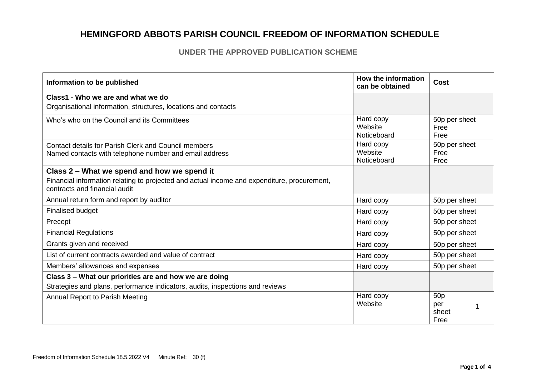#### **UNDER THE APPROVED PUBLICATION SCHEME**

| Information to be published                                                                                                  | How the information<br>can be obtained | Cost                                    |
|------------------------------------------------------------------------------------------------------------------------------|----------------------------------------|-----------------------------------------|
| Class1 - Who we are and what we do                                                                                           |                                        |                                         |
| Organisational information, structures, locations and contacts                                                               |                                        |                                         |
| Who's who on the Council and its Committees                                                                                  | Hard copy<br>Website<br>Noticeboard    | 50p per sheet<br>Free<br>Free           |
| Contact details for Parish Clerk and Council members<br>Named contacts with telephone number and email address               | Hard copy<br>Website<br>Noticeboard    | 50p per sheet<br>Free<br>Free           |
| Class 2 – What we spend and how we spend it                                                                                  |                                        |                                         |
| Financial information relating to projected and actual income and expenditure, procurement,<br>contracts and financial audit |                                        |                                         |
| Annual return form and report by auditor                                                                                     | Hard copy                              | 50p per sheet                           |
| <b>Finalised budget</b>                                                                                                      | Hard copy                              | 50p per sheet                           |
| Precept                                                                                                                      | Hard copy                              | 50p per sheet                           |
| <b>Financial Regulations</b>                                                                                                 | Hard copy                              | 50p per sheet                           |
| Grants given and received                                                                                                    | Hard copy                              | 50p per sheet                           |
| List of current contracts awarded and value of contract                                                                      | Hard copy                              | 50p per sheet                           |
| Members' allowances and expenses                                                                                             | Hard copy                              | 50p per sheet                           |
| Class 3 - What our priorities are and how we are doing                                                                       |                                        |                                         |
| Strategies and plans, performance indicators, audits, inspections and reviews                                                |                                        |                                         |
| Annual Report to Parish Meeting                                                                                              | Hard copy<br>Website                   | 50 <sub>p</sub><br>per<br>sheet<br>Free |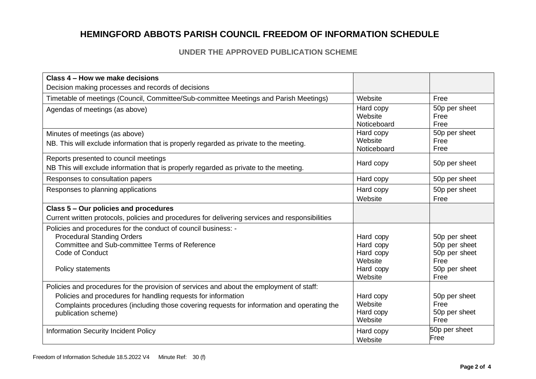### **UNDER THE APPROVED PUBLICATION SCHEME**

| Class 4 – How we make decisions                                                                                                                                                                                                                                                |                                                                        |                                                                                  |
|--------------------------------------------------------------------------------------------------------------------------------------------------------------------------------------------------------------------------------------------------------------------------------|------------------------------------------------------------------------|----------------------------------------------------------------------------------|
| Decision making processes and records of decisions                                                                                                                                                                                                                             |                                                                        |                                                                                  |
| Timetable of meetings (Council, Committee/Sub-committee Meetings and Parish Meetings)                                                                                                                                                                                          | Website                                                                | Free                                                                             |
| Agendas of meetings (as above)                                                                                                                                                                                                                                                 | Hard copy<br>Website<br>Noticeboard                                    | 50p per sheet<br>Free<br>Free                                                    |
| Minutes of meetings (as above)<br>NB. This will exclude information that is properly regarded as private to the meeting.                                                                                                                                                       | Hard copy<br>Website<br>Noticeboard                                    | 50p per sheet<br>Free<br>Free                                                    |
| Reports presented to council meetings<br>NB This will exclude information that is properly regarded as private to the meeting.                                                                                                                                                 | Hard copy                                                              | 50p per sheet                                                                    |
| Responses to consultation papers                                                                                                                                                                                                                                               | Hard copy                                                              | 50p per sheet                                                                    |
| Responses to planning applications                                                                                                                                                                                                                                             | Hard copy<br>Website                                                   | 50p per sheet<br>Free                                                            |
| Class 5 - Our policies and procedures                                                                                                                                                                                                                                          |                                                                        |                                                                                  |
| Current written protocols, policies and procedures for delivering services and responsibilities                                                                                                                                                                                |                                                                        |                                                                                  |
| Policies and procedures for the conduct of council business: -<br><b>Procedural Standing Orders</b><br>Committee and Sub-committee Terms of Reference<br>Code of Conduct<br>Policy statements                                                                                  | Hard copy<br>Hard copy<br>Hard copy<br>Website<br>Hard copy<br>Website | 50p per sheet<br>50p per sheet<br>50p per sheet<br>Free<br>50p per sheet<br>Free |
| Policies and procedures for the provision of services and about the employment of staff:<br>Policies and procedures for handling requests for information<br>Complaints procedures (including those covering requests for information and operating the<br>publication scheme) | Hard copy<br>Website<br>Hard copy<br>Website                           | 50p per sheet<br>Free<br>50p per sheet<br>Free                                   |
| <b>Information Security Incident Policy</b>                                                                                                                                                                                                                                    | Hard copy<br>Website                                                   | 50p per sheet<br>Free                                                            |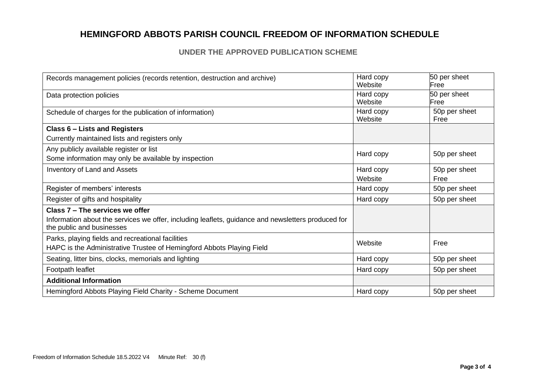### **UNDER THE APPROVED PUBLICATION SCHEME**

| Records management policies (records retention, destruction and archive)                           | Hard copy | 50 per sheet  |
|----------------------------------------------------------------------------------------------------|-----------|---------------|
|                                                                                                    | Website   | Free          |
| Data protection policies                                                                           | Hard copy | 50 per sheet  |
|                                                                                                    | Website   | Free          |
| Schedule of charges for the publication of information)                                            | Hard copy | 50p per sheet |
|                                                                                                    | Website   | Free          |
| <b>Class 6 - Lists and Registers</b>                                                               |           |               |
| Currently maintained lists and registers only                                                      |           |               |
| Any publicly available register or list                                                            |           |               |
| Some information may only be available by inspection                                               | Hard copy | 50p per sheet |
| <b>Inventory of Land and Assets</b>                                                                | Hard copy | 50p per sheet |
|                                                                                                    | Website   | Free          |
| Register of members' interests                                                                     | Hard copy | 50p per sheet |
| Register of gifts and hospitality                                                                  | Hard copy | 50p per sheet |
| Class 7 - The services we offer                                                                    |           |               |
| Information about the services we offer, including leaflets, guidance and newsletters produced for |           |               |
| the public and businesses                                                                          |           |               |
| Parks, playing fields and recreational facilities                                                  |           | Free          |
| HAPC is the Administrative Trustee of Hemingford Abbots Playing Field                              | Website   |               |
| Seating, litter bins, clocks, memorials and lighting                                               | Hard copy | 50p per sheet |
| Footpath leaflet                                                                                   | Hard copy | 50p per sheet |
| <b>Additional Information</b>                                                                      |           |               |
| Hemingford Abbots Playing Field Charity - Scheme Document                                          | Hard copy | 50p per sheet |